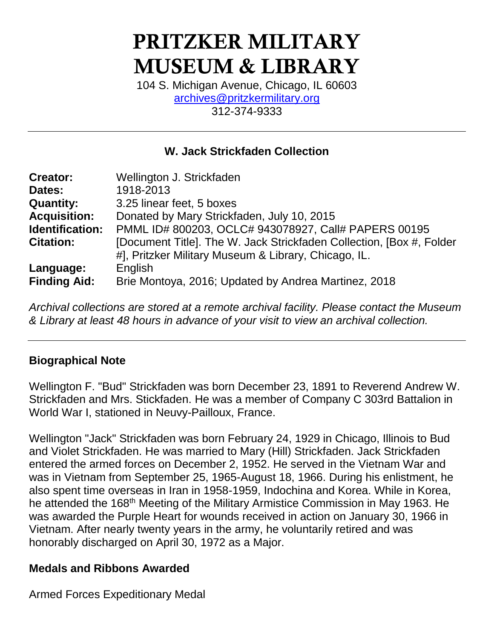# PRITZKER MILITARY MUSEUM & LIBRARY

104 S. Michigan Avenue, Chicago, IL 60603 [archives@pritzkermilitary.org](mailto:archives@pritzkermilitary.org) 312-374-9333

### **W. Jack Strickfaden Collection**

| <b>Creator:</b>     | Wellington J. Strickfaden                                                                                                     |
|---------------------|-------------------------------------------------------------------------------------------------------------------------------|
| Dates:              | 1918-2013                                                                                                                     |
| <b>Quantity:</b>    | 3.25 linear feet, 5 boxes                                                                                                     |
| <b>Acquisition:</b> | Donated by Mary Strickfaden, July 10, 2015                                                                                    |
| Identification:     | PMML ID# 800203, OCLC# 943078927, Call# PAPERS 00195                                                                          |
| <b>Citation:</b>    | [Document Title]. The W. Jack Strickfaden Collection, [Box #, Folder]<br>#], Pritzker Military Museum & Library, Chicago, IL. |
| Language:           | English                                                                                                                       |
| <b>Finding Aid:</b> | Brie Montoya, 2016; Updated by Andrea Martinez, 2018                                                                          |

*Archival collections are stored at a remote archival facility. Please contact the Museum & Library at least 48 hours in advance of your visit to view an archival collection.*

### **Biographical Note**

Wellington F. "Bud" Strickfaden was born December 23, 1891 to Reverend Andrew W. Strickfaden and Mrs. Stickfaden. He was a member of Company C 303rd Battalion in World War I, stationed in Neuvy-Pailloux, France.

Wellington "Jack" Strickfaden was born February 24, 1929 in Chicago, Illinois to Bud and Violet Strickfaden. He was married to Mary (Hill) Strickfaden. Jack Strickfaden entered the armed forces on December 2, 1952. He served in the Vietnam War and was in Vietnam from September 25, 1965-August 18, 1966. During his enlistment, he also spent time overseas in Iran in 1958-1959, Indochina and Korea. While in Korea, he attended the 168<sup>th</sup> Meeting of the Military Armistice Commission in May 1963. He was awarded the Purple Heart for wounds received in action on January 30, 1966 in Vietnam. After nearly twenty years in the army, he voluntarily retired and was honorably discharged on April 30, 1972 as a Major.

#### **Medals and Ribbons Awarded**

Armed Forces Expeditionary Medal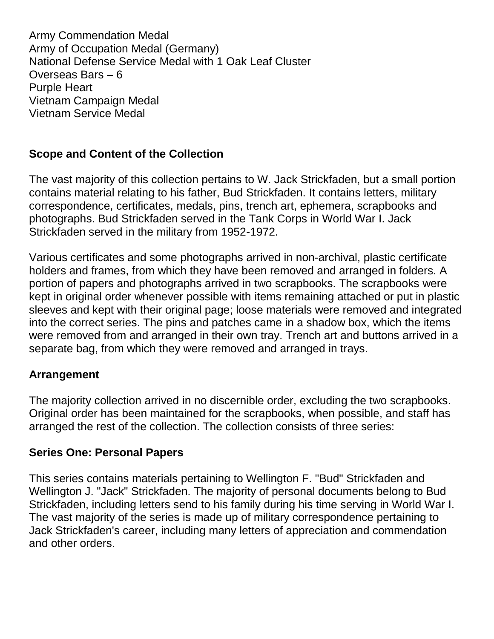Army Commendation Medal Army of Occupation Medal (Germany) National Defense Service Medal with 1 Oak Leaf Cluster Overseas Bars – 6 Purple Heart Vietnam Campaign Medal Vietnam Service Medal

#### **Scope and Content of the Collection**

The vast majority of this collection pertains to W. Jack Strickfaden, but a small portion contains material relating to his father, Bud Strickfaden. It contains letters, military correspondence, certificates, medals, pins, trench art, ephemera, scrapbooks and photographs. Bud Strickfaden served in the Tank Corps in World War I. Jack Strickfaden served in the military from 1952-1972.

Various certificates and some photographs arrived in non-archival, plastic certificate holders and frames, from which they have been removed and arranged in folders. A portion of papers and photographs arrived in two scrapbooks. The scrapbooks were kept in original order whenever possible with items remaining attached or put in plastic sleeves and kept with their original page; loose materials were removed and integrated into the correct series. The pins and patches came in a shadow box, which the items were removed from and arranged in their own tray. Trench art and buttons arrived in a separate bag, from which they were removed and arranged in trays.

#### **Arrangement**

The majority collection arrived in no discernible order, excluding the two scrapbooks. Original order has been maintained for the scrapbooks, when possible, and staff has arranged the rest of the collection. The collection consists of three series:

#### **Series One: Personal Papers**

This series contains materials pertaining to Wellington F. "Bud" Strickfaden and Wellington J. "Jack" Strickfaden. The majority of personal documents belong to Bud Strickfaden, including letters send to his family during his time serving in World War I. The vast majority of the series is made up of military correspondence pertaining to Jack Strickfaden's career, including many letters of appreciation and commendation and other orders.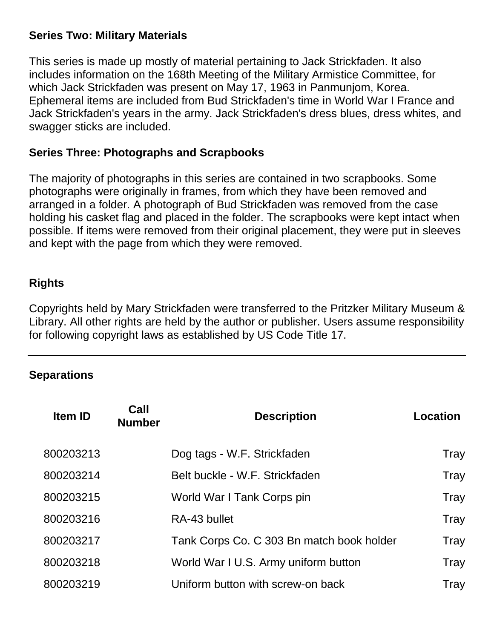#### **Series Two: Military Materials**

This series is made up mostly of material pertaining to Jack Strickfaden. It also includes information on the 168th Meeting of the Military Armistice Committee, for which Jack Strickfaden was present on May 17, 1963 in Panmunjom, Korea. Ephemeral items are included from Bud Strickfaden's time in World War I France and Jack Strickfaden's years in the army. Jack Strickfaden's dress blues, dress whites, and swagger sticks are included.

#### **Series Three: Photographs and Scrapbooks**

The majority of photographs in this series are contained in two scrapbooks. Some photographs were originally in frames, from which they have been removed and arranged in a folder. A photograph of Bud Strickfaden was removed from the case holding his casket flag and placed in the folder. The scrapbooks were kept intact when possible. If items were removed from their original placement, they were put in sleeves and kept with the page from which they were removed.

### **Rights**

Copyrights held by Mary Strickfaden were transferred to the Pritzker Military Museum & Library. All other rights are held by the author or publisher. Users assume responsibility for following copyright laws as established by US Code Title 17.

### **Separations**

| <b>Item ID</b> | Call<br><b>Number</b> | <b>Description</b>                        | Location    |
|----------------|-----------------------|-------------------------------------------|-------------|
| 800203213      |                       | Dog tags - W.F. Strickfaden               | Tray        |
| 800203214      |                       | Belt buckle - W.F. Strickfaden            | Tray        |
| 800203215      |                       | World War I Tank Corps pin                | Tray        |
| 800203216      |                       | RA-43 bullet                              | Tray        |
| 800203217      |                       | Tank Corps Co. C 303 Bn match book holder | Tray        |
| 800203218      |                       | World War I U.S. Army uniform button      | <b>Tray</b> |
| 800203219      |                       | Uniform button with screw-on back         | Tray        |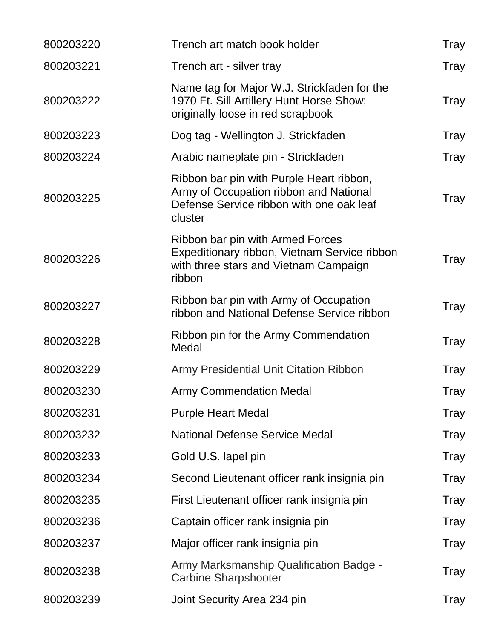| 800203220 | Trench art match book holder                                                                                                              | Tray |
|-----------|-------------------------------------------------------------------------------------------------------------------------------------------|------|
| 800203221 | Trench art - silver tray                                                                                                                  | Tray |
| 800203222 | Name tag for Major W.J. Strickfaden for the<br>1970 Ft. Sill Artillery Hunt Horse Show;<br>originally loose in red scrapbook              | Tray |
| 800203223 | Dog tag - Wellington J. Strickfaden                                                                                                       | Tray |
| 800203224 | Arabic nameplate pin - Strickfaden                                                                                                        | Tray |
| 800203225 | Ribbon bar pin with Purple Heart ribbon,<br>Army of Occupation ribbon and National<br>Defense Service ribbon with one oak leaf<br>cluster | Tray |
| 800203226 | Ribbon bar pin with Armed Forces<br>Expeditionary ribbon, Vietnam Service ribbon<br>with three stars and Vietnam Campaign<br>ribbon       | Tray |
| 800203227 | Ribbon bar pin with Army of Occupation<br>ribbon and National Defense Service ribbon                                                      | Tray |
| 800203228 | Ribbon pin for the Army Commendation<br>Medal                                                                                             | Tray |
| 800203229 | <b>Army Presidential Unit Citation Ribbon</b>                                                                                             | Tray |
| 800203230 | <b>Army Commendation Medal</b>                                                                                                            | Tray |
| 800203231 | <b>Purple Heart Medal</b>                                                                                                                 | Tray |
| 800203232 | <b>National Defense Service Medal</b>                                                                                                     | Tray |
| 800203233 | Gold U.S. lapel pin                                                                                                                       | Tray |
| 800203234 | Second Lieutenant officer rank insignia pin                                                                                               | Tray |
| 800203235 | First Lieutenant officer rank insignia pin                                                                                                | Tray |
| 800203236 | Captain officer rank insignia pin                                                                                                         | Tray |
| 800203237 | Major officer rank insignia pin                                                                                                           | Tray |
| 800203238 | Army Marksmanship Qualification Badge -<br><b>Carbine Sharpshooter</b>                                                                    | Tray |
| 800203239 | Joint Security Area 234 pin                                                                                                               | Tray |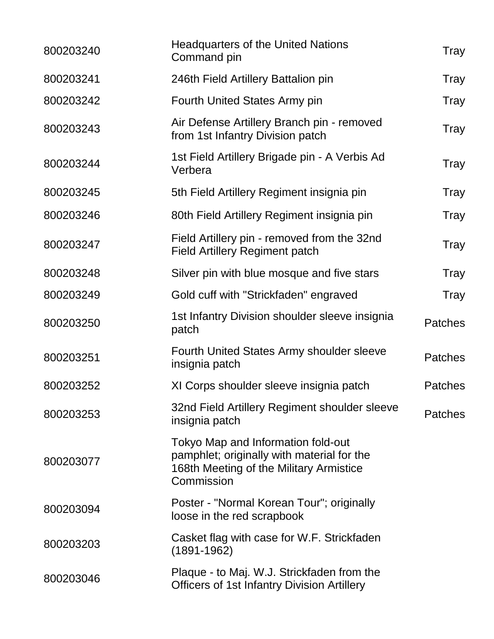| <b>Headquarters of the United Nations</b><br>Command pin                                                                                  | Tray           |
|-------------------------------------------------------------------------------------------------------------------------------------------|----------------|
| 246th Field Artillery Battalion pin                                                                                                       | <b>Tray</b>    |
| <b>Fourth United States Army pin</b>                                                                                                      | <b>Tray</b>    |
| Air Defense Artillery Branch pin - removed<br>from 1st Infantry Division patch                                                            | <b>Tray</b>    |
| 1st Field Artillery Brigade pin - A Verbis Ad<br>Verbera                                                                                  | <b>Tray</b>    |
| 5th Field Artillery Regiment insignia pin                                                                                                 | Tray           |
| 80th Field Artillery Regiment insignia pin                                                                                                | <b>Tray</b>    |
| Field Artillery pin - removed from the 32nd<br><b>Field Artillery Regiment patch</b>                                                      | <b>Tray</b>    |
| Silver pin with blue mosque and five stars                                                                                                | <b>Tray</b>    |
| Gold cuff with "Strickfaden" engraved                                                                                                     | Tray           |
| 1st Infantry Division shoulder sleeve insignia<br>patch                                                                                   | <b>Patches</b> |
| <b>Fourth United States Army shoulder sleeve</b><br>insignia patch                                                                        | <b>Patches</b> |
| XI Corps shoulder sleeve insignia patch                                                                                                   | <b>Patches</b> |
| 32nd Field Artillery Regiment shoulder sleeve<br>insignia patch                                                                           | <b>Patches</b> |
| Tokyo Map and Information fold-out<br>pamphlet; originally with material for the<br>168th Meeting of the Military Armistice<br>Commission |                |
| Poster - "Normal Korean Tour"; originally<br>loose in the red scrapbook                                                                   |                |
| Casket flag with case for W.F. Strickfaden<br>$(1891 - 1962)$                                                                             |                |
| Plaque - to Maj. W.J. Strickfaden from the<br><b>Officers of 1st Infantry Division Artillery</b>                                          |                |
|                                                                                                                                           |                |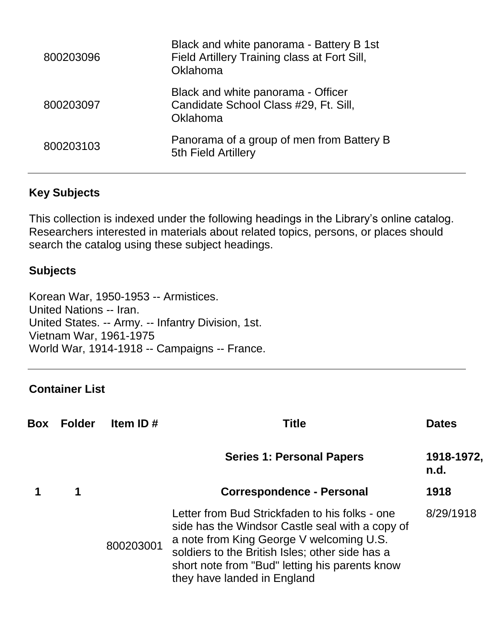| 800203096 | Black and white panorama - Battery B 1st<br>Field Artillery Training class at Fort Sill,<br>Oklahoma |
|-----------|------------------------------------------------------------------------------------------------------|
| 800203097 | Black and white panorama - Officer<br>Candidate School Class #29, Ft. Sill,<br>Oklahoma              |
| 800203103 | Panorama of a group of men from Battery B<br>5th Field Artillery                                     |

### **Key Subjects**

This collection is indexed under the following headings in the Library's online catalog. Researchers interested in materials about related topics, persons, or places should search the catalog using these subject headings.

#### **Subjects**

Korean War, 1950-1953 -- Armistices. United Nations -- Iran. United States. -- Army. -- Infantry Division, 1st. Vietnam War, 1961-1975 World War, 1914-1918 -- Campaigns -- France.

### **Container List**

| <b>Box</b> | <b>Folder</b> | Item ID $#$ | Title                                                                                                                                                                                                                                                                             | <b>Dates</b>       |
|------------|---------------|-------------|-----------------------------------------------------------------------------------------------------------------------------------------------------------------------------------------------------------------------------------------------------------------------------------|--------------------|
|            |               |             | <b>Series 1: Personal Papers</b>                                                                                                                                                                                                                                                  | 1918-1972,<br>n.d. |
|            | 1             |             | <b>Correspondence - Personal</b>                                                                                                                                                                                                                                                  | 1918               |
|            |               | 800203001   | Letter from Bud Strickfaden to his folks - one<br>side has the Windsor Castle seal with a copy of<br>a note from King George V welcoming U.S.<br>soldiers to the British Isles; other side has a<br>short note from "Bud" letting his parents know<br>they have landed in England | 8/29/1918          |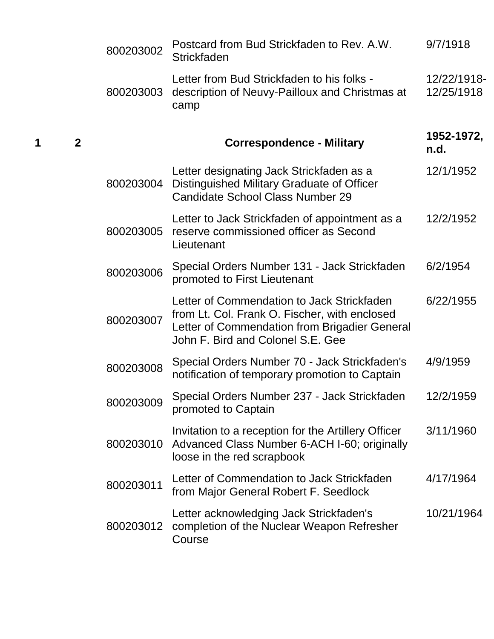|   |                | 800203002 | Postcard from Bud Strickfaden to Rev. A.W.<br><b>Strickfaden</b>                                                                                                                  | 9/7/1918                  |
|---|----------------|-----------|-----------------------------------------------------------------------------------------------------------------------------------------------------------------------------------|---------------------------|
|   |                | 800203003 | Letter from Bud Strickfaden to his folks -<br>description of Neuvy-Pailloux and Christmas at<br>camp                                                                              | 12/22/1918-<br>12/25/1918 |
| 1 | $\overline{2}$ |           | <b>Correspondence - Military</b>                                                                                                                                                  | 1952-1972,<br>n.d.        |
|   |                | 800203004 | Letter designating Jack Strickfaden as a<br>Distinguished Military Graduate of Officer<br><b>Candidate School Class Number 29</b>                                                 | 12/1/1952                 |
|   |                | 800203005 | Letter to Jack Strickfaden of appointment as a<br>reserve commissioned officer as Second<br>Lieutenant                                                                            | 12/2/1952                 |
|   |                | 800203006 | Special Orders Number 131 - Jack Strickfaden<br>promoted to First Lieutenant                                                                                                      | 6/2/1954                  |
|   |                | 800203007 | Letter of Commendation to Jack Strickfaden<br>from Lt. Col. Frank O. Fischer, with enclosed<br>Letter of Commendation from Brigadier General<br>John F. Bird and Colonel S.E. Gee | 6/22/1955                 |
|   |                | 800203008 | Special Orders Number 70 - Jack Strickfaden's<br>notification of temporary promotion to Captain                                                                                   | 4/9/1959                  |
|   |                | 800203009 | Special Orders Number 237 - Jack Strickfaden<br>promoted to Captain                                                                                                               | 12/2/1959                 |
|   |                | 800203010 | Invitation to a reception for the Artillery Officer<br>Advanced Class Number 6-ACH I-60; originally<br>loose in the red scrapbook                                                 | 3/11/1960                 |
|   |                | 800203011 | Letter of Commendation to Jack Strickfaden<br>from Major General Robert F. Seedlock                                                                                               | 4/17/1964                 |
|   |                | 800203012 | Letter acknowledging Jack Strickfaden's<br>completion of the Nuclear Weapon Refresher<br>Course                                                                                   | 10/21/1964                |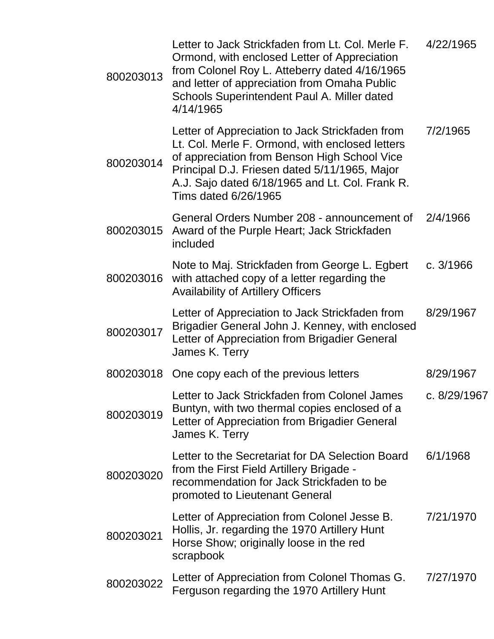| 800203013 | Letter to Jack Strickfaden from Lt. Col. Merle F.<br>Ormond, with enclosed Letter of Appreciation<br>from Colonel Roy L. Atteberry dated 4/16/1965<br>and letter of appreciation from Omaha Public<br>Schools Superintendent Paul A. Miller dated<br>4/14/1965                 | 4/22/1965    |
|-----------|--------------------------------------------------------------------------------------------------------------------------------------------------------------------------------------------------------------------------------------------------------------------------------|--------------|
| 800203014 | Letter of Appreciation to Jack Strickfaden from<br>Lt. Col. Merle F. Ormond, with enclosed letters<br>of appreciation from Benson High School Vice<br>Principal D.J. Friesen dated 5/11/1965, Major<br>A.J. Sajo dated 6/18/1965 and Lt. Col. Frank R.<br>Tims dated 6/26/1965 | 7/2/1965     |
| 800203015 | General Orders Number 208 - announcement of<br>Award of the Purple Heart; Jack Strickfaden<br>included                                                                                                                                                                         | 2/4/1966     |
| 800203016 | Note to Maj. Strickfaden from George L. Egbert<br>with attached copy of a letter regarding the<br><b>Availability of Artillery Officers</b>                                                                                                                                    | c. $3/1966$  |
| 800203017 | Letter of Appreciation to Jack Strickfaden from<br>Brigadier General John J. Kenney, with enclosed<br>Letter of Appreciation from Brigadier General<br>James K. Terry                                                                                                          | 8/29/1967    |
|           | 800203018 One copy each of the previous letters                                                                                                                                                                                                                                | 8/29/1967    |
| 800203019 | Letter to Jack Strickfaden from Colonel James<br>Buntyn, with two thermal copies enclosed of a<br>Letter of Appreciation from Brigadier General<br>James K. Terry                                                                                                              | c. 8/29/1967 |
| 800203020 | Letter to the Secretariat for DA Selection Board<br>from the First Field Artillery Brigade -<br>recommendation for Jack Strickfaden to be<br>promoted to Lieutenant General                                                                                                    | 6/1/1968     |
| 800203021 | Letter of Appreciation from Colonel Jesse B.<br>Hollis, Jr. regarding the 1970 Artillery Hunt<br>Horse Show; originally loose in the red<br>scrapbook                                                                                                                          | 7/21/1970    |
| 800203022 | Letter of Appreciation from Colonel Thomas G.<br>Ferguson regarding the 1970 Artillery Hunt                                                                                                                                                                                    | 7/27/1970    |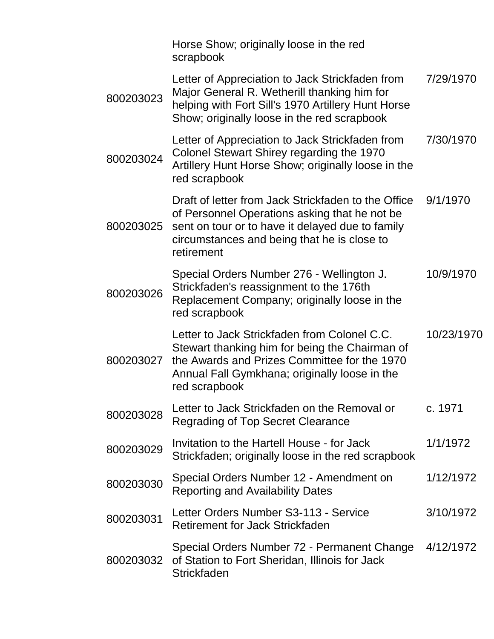|           | Horse Show; originally loose in the red<br>scrapbook                                                                                                                                                                  |            |
|-----------|-----------------------------------------------------------------------------------------------------------------------------------------------------------------------------------------------------------------------|------------|
| 800203023 | Letter of Appreciation to Jack Strickfaden from<br>Major General R. Wetherill thanking him for<br>helping with Fort Sill's 1970 Artillery Hunt Horse<br>Show; originally loose in the red scrapbook                   | 7/29/1970  |
| 800203024 | Letter of Appreciation to Jack Strickfaden from<br>Colonel Stewart Shirey regarding the 1970<br>Artillery Hunt Horse Show; originally loose in the<br>red scrapbook                                                   | 7/30/1970  |
| 800203025 | Draft of letter from Jack Strickfaden to the Office<br>of Personnel Operations asking that he not be<br>sent on tour or to have it delayed due to family<br>circumstances and being that he is close to<br>retirement | 9/1/1970   |
| 800203026 | Special Orders Number 276 - Wellington J.<br>Strickfaden's reassignment to the 176th<br>Replacement Company; originally loose in the<br>red scrapbook                                                                 | 10/9/1970  |
| 800203027 | Letter to Jack Strickfaden from Colonel C.C.<br>Stewart thanking him for being the Chairman of<br>the Awards and Prizes Committee for the 1970<br>Annual Fall Gymkhana; originally loose in the<br>red scrapbook      | 10/23/1970 |
| 800203028 | Letter to Jack Strickfaden on the Removal or<br><b>Regrading of Top Secret Clearance</b>                                                                                                                              | c. 1971    |
| 800203029 | Invitation to the Hartell House - for Jack<br>Strickfaden; originally loose in the red scrapbook                                                                                                                      | 1/1/1972   |
| 800203030 | Special Orders Number 12 - Amendment on<br><b>Reporting and Availability Dates</b>                                                                                                                                    | 1/12/1972  |
| 800203031 | Letter Orders Number S3-113 - Service<br><b>Retirement for Jack Strickfaden</b>                                                                                                                                       | 3/10/1972  |
| 800203032 | Special Orders Number 72 - Permanent Change<br>of Station to Fort Sheridan, Illinois for Jack<br><b>Strickfaden</b>                                                                                                   | 4/12/1972  |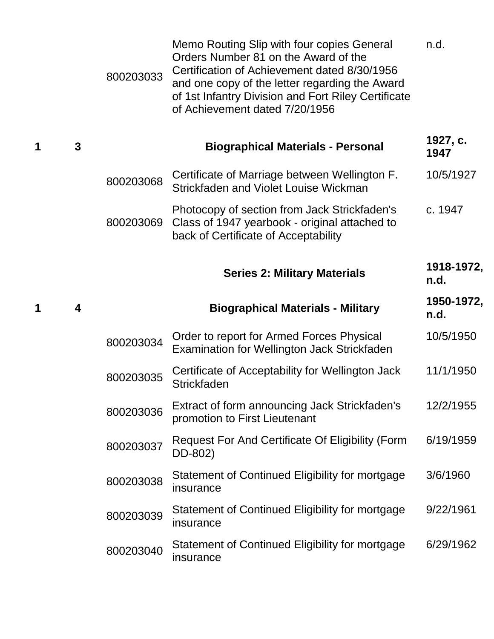|   | 800203033 | Memo Routing Slip with four copies General<br>Orders Number 81 on the Award of the<br>Certification of Achievement dated 8/30/1956<br>and one copy of the letter regarding the Award<br>of 1st Infantry Division and Fort Riley Certificate<br>of Achievement dated 7/20/1956 | n.d.               |
|---|-----------|-------------------------------------------------------------------------------------------------------------------------------------------------------------------------------------------------------------------------------------------------------------------------------|--------------------|
| 3 |           | <b>Biographical Materials - Personal</b>                                                                                                                                                                                                                                      | 1927, c.<br>1947   |
|   | 800203068 | Certificate of Marriage between Wellington F.<br>Strickfaden and Violet Louise Wickman                                                                                                                                                                                        | 10/5/1927          |
|   | 800203069 | Photocopy of section from Jack Strickfaden's<br>Class of 1947 yearbook - original attached to<br>back of Certificate of Acceptability                                                                                                                                         | c. 1947            |
|   |           | <b>Series 2: Military Materials</b>                                                                                                                                                                                                                                           | 1918-1972,<br>n.d. |
| 4 |           | <b>Biographical Materials - Military</b>                                                                                                                                                                                                                                      | 1950-1972,<br>n.d. |
|   | 800203034 | Order to report for Armed Forces Physical<br>Examination for Wellington Jack Strickfaden                                                                                                                                                                                      | 10/5/1950          |
|   |           |                                                                                                                                                                                                                                                                               |                    |
|   | 800203035 | Certificate of Acceptability for Wellington Jack<br><b>Strickfaden</b>                                                                                                                                                                                                        | 11/1/1950          |
|   | 800203036 | Extract of form announcing Jack Strickfaden's<br>promotion to First Lieutenant                                                                                                                                                                                                | 12/2/1955          |
|   | 800203037 | <b>Request For And Certificate Of Eligibility (Form</b><br>DD-802)                                                                                                                                                                                                            | 6/19/1959          |
|   | 800203038 | Statement of Continued Eligibility for mortgage<br>insurance                                                                                                                                                                                                                  | 3/6/1960           |
|   | 800203039 | Statement of Continued Eligibility for mortgage<br>insurance                                                                                                                                                                                                                  | 9/22/1961          |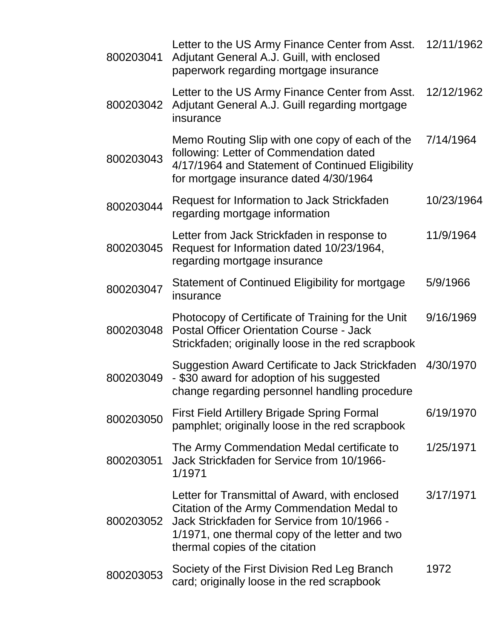| 800203041 | Letter to the US Army Finance Center from Asst. 12/11/1962<br>Adjutant General A.J. Guill, with enclosed<br>paperwork regarding mortgage insurance                                                                              |            |
|-----------|---------------------------------------------------------------------------------------------------------------------------------------------------------------------------------------------------------------------------------|------------|
| 800203042 | Letter to the US Army Finance Center from Asst.<br>Adjutant General A.J. Guill regarding mortgage<br>insurance                                                                                                                  | 12/12/1962 |
| 800203043 | Memo Routing Slip with one copy of each of the<br>following: Letter of Commendation dated<br>4/17/1964 and Statement of Continued Eligibility<br>for mortgage insurance dated 4/30/1964                                         | 7/14/1964  |
| 800203044 | Request for Information to Jack Strickfaden<br>regarding mortgage information                                                                                                                                                   | 10/23/1964 |
| 800203045 | Letter from Jack Strickfaden in response to<br>Request for Information dated 10/23/1964,<br>regarding mortgage insurance                                                                                                        | 11/9/1964  |
| 800203047 | Statement of Continued Eligibility for mortgage<br>insurance                                                                                                                                                                    | 5/9/1966   |
| 800203048 | Photocopy of Certificate of Training for the Unit<br><b>Postal Officer Orientation Course - Jack</b><br>Strickfaden; originally loose in the red scrapbook                                                                      | 9/16/1969  |
| 800203049 | Suggestion Award Certificate to Jack Strickfaden<br>- \$30 award for adoption of his suggested<br>change regarding personnel handling procedure                                                                                 | 4/30/1970  |
| 800203050 | <b>First Field Artillery Brigade Spring Formal</b><br>pamphlet; originally loose in the red scrapbook                                                                                                                           | 6/19/1970  |
| 800203051 | The Army Commendation Medal certificate to<br>Jack Strickfaden for Service from 10/1966-<br>1/1971                                                                                                                              | 1/25/1971  |
| 800203052 | Letter for Transmittal of Award, with enclosed<br>Citation of the Army Commendation Medal to<br>Jack Strickfaden for Service from 10/1966 -<br>1/1971, one thermal copy of the letter and two<br>thermal copies of the citation | 3/17/1971  |
| 800203053 | Society of the First Division Red Leg Branch<br>card; originally loose in the red scrapbook                                                                                                                                     | 1972       |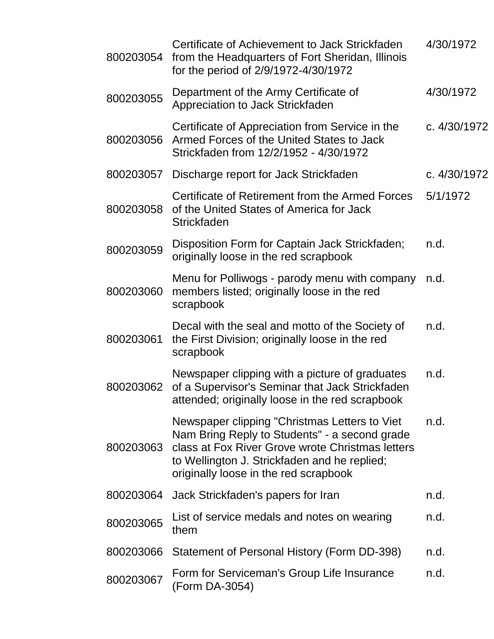| 800203054 | Certificate of Achievement to Jack Strickfaden<br>from the Headquarters of Fort Sheridan, Illinois<br>for the period of 2/9/1972-4/30/1972                                                                                                  | 4/30/1972    |
|-----------|---------------------------------------------------------------------------------------------------------------------------------------------------------------------------------------------------------------------------------------------|--------------|
| 800203055 | Department of the Army Certificate of<br>Appreciation to Jack Strickfaden                                                                                                                                                                   | 4/30/1972    |
| 800203056 | Certificate of Appreciation from Service in the<br>Armed Forces of the United States to Jack<br>Strickfaden from 12/2/1952 - 4/30/1972                                                                                                      | c. 4/30/1972 |
| 800203057 | Discharge report for Jack Strickfaden                                                                                                                                                                                                       | c. 4/30/1972 |
| 800203058 | Certificate of Retirement from the Armed Forces<br>of the United States of America for Jack<br>Strickfaden                                                                                                                                  | 5/1/1972     |
| 800203059 | Disposition Form for Captain Jack Strickfaden;<br>originally loose in the red scrapbook                                                                                                                                                     | n.d.         |
| 800203060 | Menu for Polliwogs - parody menu with company<br>members listed; originally loose in the red<br>scrapbook                                                                                                                                   | n.d.         |
| 800203061 | Decal with the seal and motto of the Society of<br>the First Division; originally loose in the red<br>scrapbook                                                                                                                             | n.d.         |
| 800203062 | Newspaper clipping with a picture of graduates<br>of a Supervisor's Seminar that Jack Strickfaden<br>attended; originally loose in the red scrapbook                                                                                        | n.d.         |
| 800203063 | Newspaper clipping "Christmas Letters to Viet<br>Nam Bring Reply to Students" - a second grade<br>class at Fox River Grove wrote Christmas letters<br>to Wellington J. Strickfaden and he replied;<br>originally loose in the red scrapbook | n.d.         |
| 800203064 | Jack Strickfaden's papers for Iran                                                                                                                                                                                                          | n.d.         |
| 800203065 | List of service medals and notes on wearing<br>them                                                                                                                                                                                         | n.d.         |
| 800203066 | Statement of Personal History (Form DD-398)                                                                                                                                                                                                 | n.d.         |
| 800203067 | Form for Serviceman's Group Life Insurance<br>(Form DA-3054)                                                                                                                                                                                | n.d.         |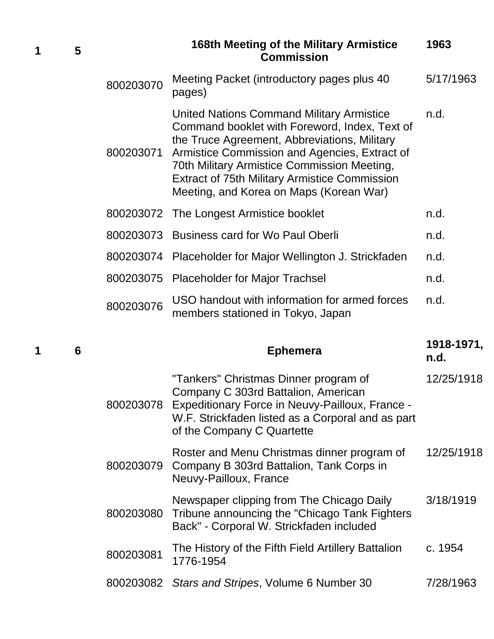**1 5**

#### **168th Meeting of the Military Armistice Commission 1963**

| 800203070 | Meeting Packet (introductory pages plus 40<br>pages)                                                                                                                                                                                                                                                                                                 | 5/17/1963 |
|-----------|------------------------------------------------------------------------------------------------------------------------------------------------------------------------------------------------------------------------------------------------------------------------------------------------------------------------------------------------------|-----------|
| 800203071 | <b>United Nations Command Military Armistice</b><br>Command booklet with Foreword, Index, Text of<br>the Truce Agreement, Abbreviations, Military<br>Armistice Commission and Agencies, Extract of<br>70th Military Armistice Commission Meeting,<br><b>Extract of 75th Military Armistice Commission</b><br>Meeting, and Korea on Maps (Korean War) | n.d.      |
|           | 800203072 The Longest Armistice booklet                                                                                                                                                                                                                                                                                                              | n.d.      |
|           | 800203073 Business card for Wo Paul Oberli                                                                                                                                                                                                                                                                                                           | n.d.      |
| 800203074 | Placeholder for Major Wellington J. Strickfaden                                                                                                                                                                                                                                                                                                      | n.d.      |
|           | 800203075 Placeholder for Major Trachsel                                                                                                                                                                                                                                                                                                             | n.d.      |
| 800203076 | USO handout with information for armed forces<br>members stationed in Tokyo, Japan                                                                                                                                                                                                                                                                   | n.d.      |

#### **<sup>1</sup> <sup>6</sup> Ephemera 1918-1971, n.d.** 800203078 Expeditionary Force in Neuvy-Pailloux, France - "Tankers" Christmas Dinner program of Company C 303rd Battalion, American W.F. Strickfaden listed as a Corporal and as part 12/25/1918

of the Company C Quartette

| Roster and Menu Christmas dinner program of<br>800203079 Company B 303rd Battalion, Tank Corps in<br>Neuvy-Pailloux, France | 12/25/1918 |
|-----------------------------------------------------------------------------------------------------------------------------|------------|
| Newspaper clipping from The Chicago Daily                                                                                   | 3/18/1919  |

| 800203080 Tribune announcing the "Chicago Tank Fighters"<br>Back" - Corporal W. Strickfaden included |                                                                                                                                                                                                                                                                                                                                                                                                               |           |
|------------------------------------------------------------------------------------------------------|---------------------------------------------------------------------------------------------------------------------------------------------------------------------------------------------------------------------------------------------------------------------------------------------------------------------------------------------------------------------------------------------------------------|-----------|
|                                                                                                      | The History of the Fifth Field Artillery Battalion<br>$800203081 \quad 1151 \quad 1111 \quad 3111 \quad 5111 \quad 6111 \quad 7111 \quad 7111 \quad 7111 \quad 7111 \quad 7111 \quad 7111 \quad 7111 \quad 7111 \quad 7111 \quad 7111 \quad 7111 \quad 7111 \quad 7111 \quad 7111 \quad 7111 \quad 7111 \quad 7111 \quad 7111 \quad 7111 \quad 7111 \quad 7111 \quad 7111 \quad 7111 \quad 7111 \quad 7111 \$ | c. 1954   |
|                                                                                                      | 800203082 Stars and Stripes, Volume 6 Number 30                                                                                                                                                                                                                                                                                                                                                               | 7/28/1963 |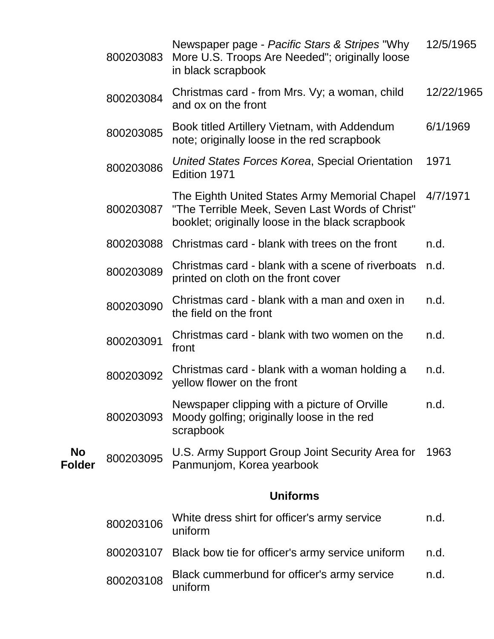|                            | 800203083 | Newspaper page - Pacific Stars & Stripes "Why<br>More U.S. Troops Are Needed"; originally loose<br>in black scrapbook                                | 12/5/1965  |
|----------------------------|-----------|------------------------------------------------------------------------------------------------------------------------------------------------------|------------|
|                            | 800203084 | Christmas card - from Mrs. Vy; a woman, child<br>and ox on the front                                                                                 | 12/22/1965 |
|                            | 800203085 | Book titled Artillery Vietnam, with Addendum<br>note; originally loose in the red scrapbook                                                          | 6/1/1969   |
|                            | 800203086 | United States Forces Korea, Special Orientation<br>Edition 1971                                                                                      | 1971       |
|                            | 800203087 | The Eighth United States Army Memorial Chapel<br>"The Terrible Meek, Seven Last Words of Christ"<br>booklet; originally loose in the black scrapbook | 4/7/1971   |
|                            | 800203088 | Christmas card - blank with trees on the front                                                                                                       | n.d.       |
|                            | 800203089 | Christmas card - blank with a scene of riverboats<br>printed on cloth on the front cover                                                             | n.d.       |
|                            | 800203090 | Christmas card - blank with a man and oxen in<br>the field on the front                                                                              | n.d.       |
|                            | 800203091 | Christmas card - blank with two women on the<br>front                                                                                                | n.d.       |
|                            | 800203092 | Christmas card - blank with a woman holding a<br>yellow flower on the front                                                                          | n.d.       |
|                            | 800203093 | Newspaper clipping with a picture of Orville<br>Moody golfing; originally loose in the red<br>scrapbook                                              | n.d.       |
| <b>No</b><br><b>Folder</b> | 800203095 | U.S. Army Support Group Joint Security Area for<br>Panmunjom, Korea yearbook                                                                         | 1963       |
|                            |           | <b>Uniforms</b>                                                                                                                                      |            |
|                            | 800203106 | White dress shirt for officer's army service<br>uniform                                                                                              | n.d.       |
|                            | 800203107 | Black bow tie for officer's army service uniform                                                                                                     | n.d.       |
|                            | 800203108 | Black cummerbund for officer's army service                                                                                                          | n.d.       |

uniform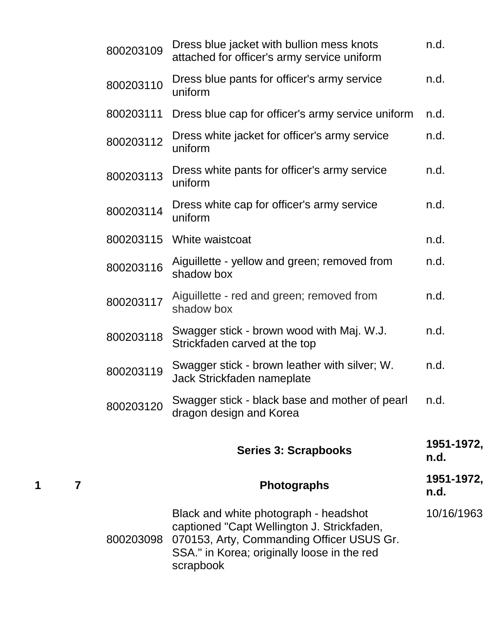|   |   | 800203109 | Dress blue jacket with bullion mess knots<br>attached for officer's army service uniform                                                                                                     | n.d.               |
|---|---|-----------|----------------------------------------------------------------------------------------------------------------------------------------------------------------------------------------------|--------------------|
|   |   | 800203110 | Dress blue pants for officer's army service<br>uniform                                                                                                                                       | n.d.               |
|   |   | 800203111 | Dress blue cap for officer's army service uniform                                                                                                                                            | n.d.               |
|   |   | 800203112 | Dress white jacket for officer's army service<br>uniform                                                                                                                                     | n.d.               |
|   |   | 800203113 | Dress white pants for officer's army service<br>uniform                                                                                                                                      | n.d.               |
|   |   | 800203114 | Dress white cap for officer's army service<br>uniform                                                                                                                                        | n.d.               |
|   |   | 800203115 | White waistcoat                                                                                                                                                                              | n.d.               |
|   |   | 800203116 | Aiguillette - yellow and green; removed from<br>shadow box                                                                                                                                   | n.d.               |
|   |   | 800203117 | Aiguillette - red and green; removed from<br>shadow box                                                                                                                                      | n.d.               |
|   |   | 800203118 | Swagger stick - brown wood with Maj. W.J.<br>Strickfaden carved at the top                                                                                                                   | n.d.               |
|   |   | 800203119 | Swagger stick - brown leather with silver; W.<br>Jack Strickfaden nameplate                                                                                                                  | n.d.               |
|   |   | 800203120 | Swagger stick - black base and mother of pearl<br>dragon design and Korea                                                                                                                    | n.d.               |
|   |   |           | <b>Series 3: Scrapbooks</b>                                                                                                                                                                  | 1951-1972,<br>n.d. |
| 1 | 7 |           | <b>Photographs</b>                                                                                                                                                                           | 1951-1972,<br>n.d. |
|   |   | 800203098 | Black and white photograph - headshot<br>captioned "Capt Wellington J. Strickfaden,<br>070153, Arty, Commanding Officer USUS Gr.<br>SSA." in Korea; originally loose in the red<br>scrapbook | 10/16/1963         |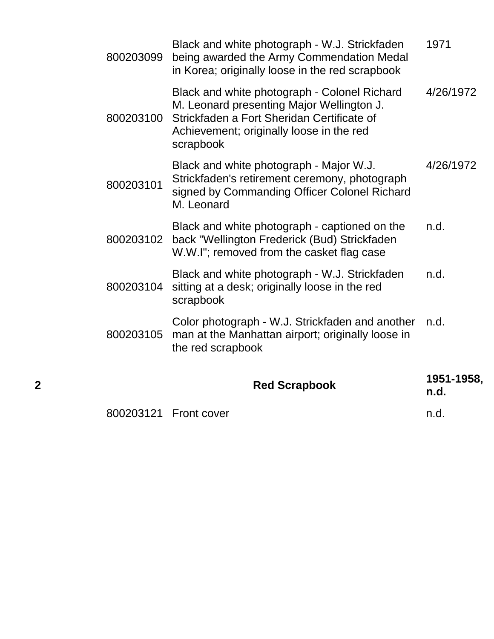| 2 |           | <b>Red Scrapbook</b>                                                                                                                                                                             | 1951-1958,<br>n.d. |
|---|-----------|--------------------------------------------------------------------------------------------------------------------------------------------------------------------------------------------------|--------------------|
|   | 800203105 | Color photograph - W.J. Strickfaden and another<br>man at the Manhattan airport; originally loose in<br>the red scrapbook                                                                        | n.d.               |
|   | 800203104 | Black and white photograph - W.J. Strickfaden<br>sitting at a desk; originally loose in the red<br>scrapbook                                                                                     | n.d.               |
|   | 800203102 | Black and white photograph - captioned on the<br>back "Wellington Frederick (Bud) Strickfaden<br>W.W.I"; removed from the casket flag case                                                       | n.d.               |
|   | 800203101 | Black and white photograph - Major W.J.<br>Strickfaden's retirement ceremony, photograph<br>signed by Commanding Officer Colonel Richard<br>M. Leonard                                           | 4/26/1972          |
|   | 800203100 | Black and white photograph - Colonel Richard<br>M. Leonard presenting Major Wellington J.<br>Strickfaden a Fort Sheridan Certificate of<br>Achievement; originally loose in the red<br>scrapbook | 4/26/1972          |
|   | 800203099 | Black and white photograph - W.J. Strickfaden<br>being awarded the Army Commendation Medal<br>in Korea; originally loose in the red scrapbook                                                    | 1971               |

|  | 800203121    Front cover | n.d. |  |
|--|--------------------------|------|--|
|--|--------------------------|------|--|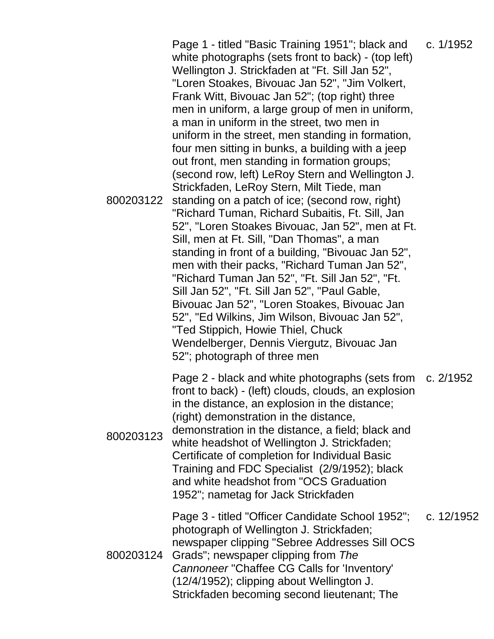800203122 Page 1 - titled "Basic Training 1951"; black and white photographs (sets front to back) - (top left) Wellington J. Strickfaden at "Ft. Sill Jan 52", "Loren Stoakes, Bivouac Jan 52", "Jim Volkert, Frank Witt, Bivouac Jan 52"; (top right) three men in uniform, a large group of men in uniform, a man in uniform in the street, two men in uniform in the street, men standing in formation, four men sitting in bunks, a building with a jeep out front, men standing in formation groups; (second row, left) LeRoy Stern and Wellington J. Strickfaden, LeRoy Stern, Milt Tiede, man standing on a patch of ice; (second row, right) "Richard Tuman, Richard Subaitis, Ft. Sill, Jan 52", "Loren Stoakes Bivouac, Jan 52", men at Ft. Sill, men at Ft. Sill, "Dan Thomas", a man standing in front of a building, "Bivouac Jan 52", men with their packs, "Richard Tuman Jan 52", "Richard Tuman Jan 52", "Ft. Sill Jan 52", "Ft. Sill Jan 52", "Ft. Sill Jan 52", "Paul Gable, Bivouac Jan 52", "Loren Stoakes, Bivouac Jan 52", "Ed Wilkins, Jim Wilson, Bivouac Jan 52", "Ted Stippich, Howie Thiel, Chuck Wendelberger, Dennis Viergutz, Bivouac Jan 52"; photograph of three men c. 1/1952 800203123 Page 2 - black and white photographs (sets from front to back) - (left) clouds, clouds, an explosion in the distance, an explosion in the distance; (right) demonstration in the distance, demonstration in the distance, a field; black and white headshot of Wellington J. Strickfaden; Certificate of completion for Individual Basic Training and FDC Specialist (2/9/1952); black and white headshot from "OCS Graduation 1952"; nametag for Jack Strickfaden c. 2/1952 800203124 Page 3 - titled "Officer Candidate School 1952"; photograph of Wellington J. Strickfaden; newspaper clipping "Sebree Addresses Sill OCS Grads"; newspaper clipping from *The Cannoneer* "Chaffee CG Calls for 'Inventory' (12/4/1952); clipping about Wellington J. Strickfaden becoming second lieutenant; The c. 12/1952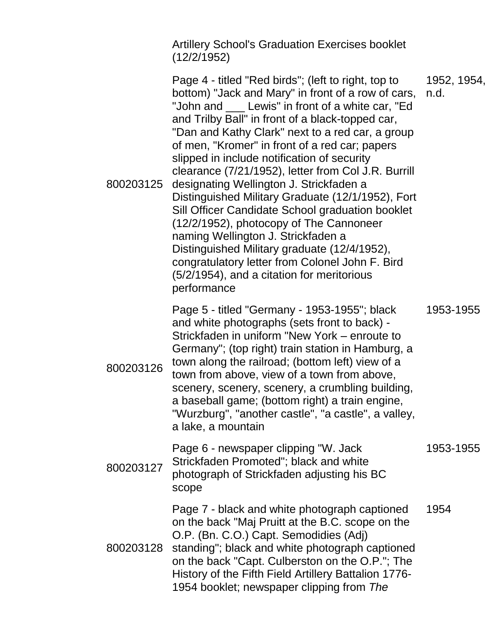Artillery School's Graduation Exercises booklet (12/2/1952)

| 800203125 | Page 4 - titled "Red birds"; (left to right, top to<br>bottom) "Jack and Mary" in front of a row of cars,<br>"John and ___ Lewis" in front of a white car, "Ed<br>and Trilby Ball" in front of a black-topped car,<br>"Dan and Kathy Clark" next to a red car, a group<br>of men, "Kromer" in front of a red car; papers<br>slipped in include notification of security<br>clearance (7/21/1952), letter from Col J.R. Burrill<br>designating Wellington J. Strickfaden a<br>Distinguished Military Graduate (12/1/1952), Fort<br>Sill Officer Candidate School graduation booklet<br>(12/2/1952), photocopy of The Cannoneer<br>naming Wellington J. Strickfaden a<br>Distinguished Military graduate (12/4/1952),<br>congratulatory letter from Colonel John F. Bird<br>(5/2/1954), and a citation for meritorious<br>performance | 1952, 1954,<br>n.d. |
|-----------|-------------------------------------------------------------------------------------------------------------------------------------------------------------------------------------------------------------------------------------------------------------------------------------------------------------------------------------------------------------------------------------------------------------------------------------------------------------------------------------------------------------------------------------------------------------------------------------------------------------------------------------------------------------------------------------------------------------------------------------------------------------------------------------------------------------------------------------|---------------------|
| 800203126 | Page 5 - titled "Germany - 1953-1955"; black<br>and white photographs (sets front to back) -<br>Strickfaden in uniform "New York – enroute to<br>Germany"; (top right) train station in Hamburg, a<br>town along the railroad; (bottom left) view of a<br>town from above, view of a town from above,<br>scenery, scenery, scenery, a crumbling building,<br>a baseball game; (bottom right) a train engine,<br>"Wurzburg", "another castle", "a castle", a valley,<br>a lake, a mountain                                                                                                                                                                                                                                                                                                                                           | 1953-1955           |
| 800203127 | Page 6 - newspaper clipping "W. Jack<br>Strickfaden Promoted"; black and white<br>photograph of Strickfaden adjusting his BC<br>scope                                                                                                                                                                                                                                                                                                                                                                                                                                                                                                                                                                                                                                                                                               | 1953-1955           |
| 800203128 | Page 7 - black and white photograph captioned<br>on the back "Maj Pruitt at the B.C. scope on the<br>O.P. (Bn. C.O.) Capt. Semodidies (Adj)<br>standing"; black and white photograph captioned<br>on the back "Capt. Culberston on the O.P."; The<br>History of the Fifth Field Artillery Battalion 1776-<br>1954 booklet; newspaper clipping from The                                                                                                                                                                                                                                                                                                                                                                                                                                                                              | 1954                |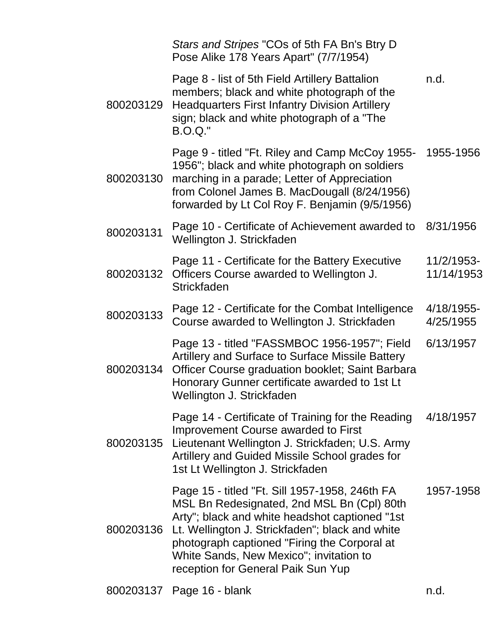|           | Stars and Stripes "COs of 5th FA Bn's Btry D<br>Pose Alike 178 Years Apart" (7/7/1954)                                                                                                                                                                                                                                             |                          |
|-----------|------------------------------------------------------------------------------------------------------------------------------------------------------------------------------------------------------------------------------------------------------------------------------------------------------------------------------------|--------------------------|
| 800203129 | Page 8 - list of 5th Field Artillery Battalion<br>members; black and white photograph of the<br><b>Headquarters First Infantry Division Artillery</b><br>sign; black and white photograph of a "The<br><b>B.O.Q."</b>                                                                                                              | n.d.                     |
| 800203130 | Page 9 - titled "Ft. Riley and Camp McCoy 1955-<br>1956"; black and white photograph on soldiers<br>marching in a parade; Letter of Appreciation<br>from Colonel James B. MacDougall (8/24/1956)<br>forwarded by Lt Col Roy F. Benjamin (9/5/1956)                                                                                 | 1955-1956                |
| 800203131 | Page 10 - Certificate of Achievement awarded to<br>Wellington J. Strickfaden                                                                                                                                                                                                                                                       | 8/31/1956                |
| 800203132 | Page 11 - Certificate for the Battery Executive<br>Officers Course awarded to Wellington J.<br><b>Strickfaden</b>                                                                                                                                                                                                                  | 11/2/1953-<br>11/14/1953 |
| 800203133 | Page 12 - Certificate for the Combat Intelligence<br>Course awarded to Wellington J. Strickfaden                                                                                                                                                                                                                                   | 4/18/1955-<br>4/25/1955  |
| 800203134 | Page 13 - titled "FASSMBOC 1956-1957"; Field<br>Artillery and Surface to Surface Missile Battery<br>Officer Course graduation booklet; Saint Barbara<br>Honorary Gunner certificate awarded to 1st Lt<br>Wellington J. Strickfaden                                                                                                 | 6/13/1957                |
| 800203135 | Page 14 - Certificate of Training for the Reading<br>Improvement Course awarded to First<br>Lieutenant Wellington J. Strickfaden; U.S. Army<br>Artillery and Guided Missile School grades for<br>1st Lt Wellington J. Strickfaden                                                                                                  | 4/18/1957                |
| 800203136 | Page 15 - titled "Ft. Sill 1957-1958, 246th FA<br>MSL Bn Redesignated, 2nd MSL Bn (Cpl) 80th<br>Arty"; black and white headshot captioned "1st<br>Lt. Wellington J. Strickfaden"; black and white<br>photograph captioned "Firing the Corporal at<br>White Sands, New Mexico"; invitation to<br>reception for General Paik Sun Yup | 1957-1958                |
|           |                                                                                                                                                                                                                                                                                                                                    |                          |

800203137 Page 16 - blank n.d.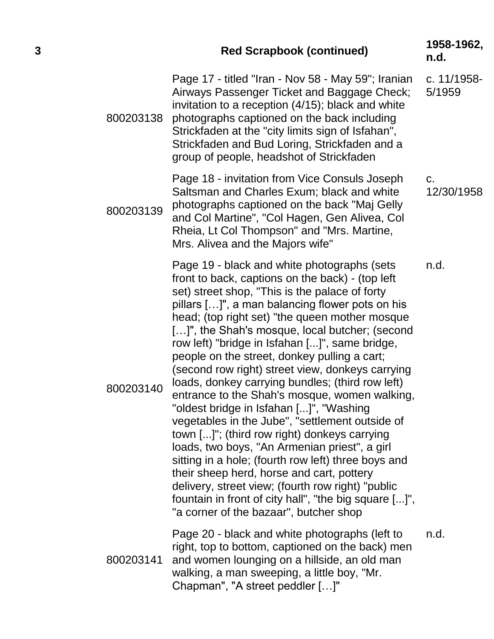## **<sup>3</sup> Red Scrapbook (continued) 1958-1962,**

800203138 Page 17 - titled "Iran - Nov 58 - May 59"; Iranian Airways Passenger Ticket and Baggage Check; invitation to a reception (4/15); black and white photographs captioned on the back including Strickfaden at the "city limits sign of Isfahan", Strickfaden and Bud Loring, Strickfaden and a group of people, headshot of Strickfaden c. 11/1958-

800203139 Page 18 - invitation from Vice Consuls Joseph Saltsman and Charles Exum; black and white photographs captioned on the back "Maj Gelly and Col Martine", "Col Hagen, Gen Alivea, Col Rheia, Lt Col Thompson" and "Mrs. Martine, Mrs. Alivea and the Majors wife" c.

800203140 Page 19 - black and white photographs (sets front to back, captions on the back) - (top left set) street shop, "This is the palace of forty pillars […]", a man balancing flower pots on his head; (top right set) "the queen mother mosque [...]", the Shah's mosque, local butcher; (second row left) "bridge in Isfahan [...]", same bridge, people on the street, donkey pulling a cart; (second row right) street view, donkeys carrying loads, donkey carrying bundles; (third row left) entrance to the Shah's mosque, women walking, "oldest bridge in Isfahan [...]", "Washing vegetables in the Jube", "settlement outside of town [...]"; (third row right) donkeys carrying loads, two boys, "An Armenian priest", a girl sitting in a hole; (fourth row left) three boys and their sheep herd, horse and cart, pottery delivery, street view; (fourth row right) "public fountain in front of city hall", "the big square [...]", "a corner of the bazaar", butcher shop n.d.

800203141 Page 20 - black and white photographs (left to right, top to bottom, captioned on the back) men and women lounging on a hillside, an old man walking, a man sweeping, a little boy, "Mr. Chapman", "A street peddler […]" n.d.

**n.d.**

12/30/1958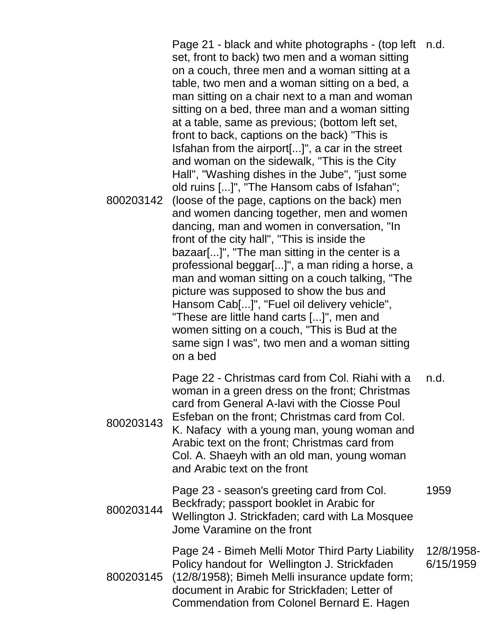800203142 Page 21 - black and white photographs - (top left n.d. set, front to back) two men and a woman sitting on a couch, three men and a woman sitting at a table, two men and a woman sitting on a bed, a man sitting on a chair next to a man and woman sitting on a bed, three man and a woman sitting at a table, same as previous; (bottom left set, front to back, captions on the back) "This is Isfahan from the airport[...]", a car in the street and woman on the sidewalk, "This is the City Hall", "Washing dishes in the Jube", "just some old ruins [...]", "The Hansom cabs of Isfahan"; (loose of the page, captions on the back) men and women dancing together, men and women dancing, man and women in conversation, "In front of the city hall", "This is inside the bazaar[...]", "The man sitting in the center is a professional beggar[...]", a man riding a horse, a man and woman sitting on a couch talking, "The picture was supposed to show the bus and Hansom Cab[...]", "Fuel oil delivery vehicle", "These are little hand carts [...]", men and women sitting on a couch, "This is Bud at the same sign I was", two men and a woman sitting on a bed 800203143 Page 22 - Christmas card from Col. Riahi with a woman in a green dress on the front; Christmas card from General A-lavi with the Ciosse Poul Esfeban on the front; Christmas card from Col. K. Nafacy with a young man, young woman and Arabic text on the front; Christmas card from Col. A. Shaeyh with an old man, young woman and Arabic text on the front n.d. 800203144 Page 23 - season's greeting card from Col. Beckfrady; passport booklet in Arabic for Wellington J. Strickfaden; card with La Mosquee Jome Varamine on the front 1959 800203145 (12/8/1958); Bimeh Melli insurance update form; Page 24 - Bimeh Melli Motor Third Party Liability Policy handout for Wellington J. Strickfaden document in Arabic for Strickfaden; Letter of Commendation from Colonel Bernard E. Hagen 12/8/1958- 6/15/1959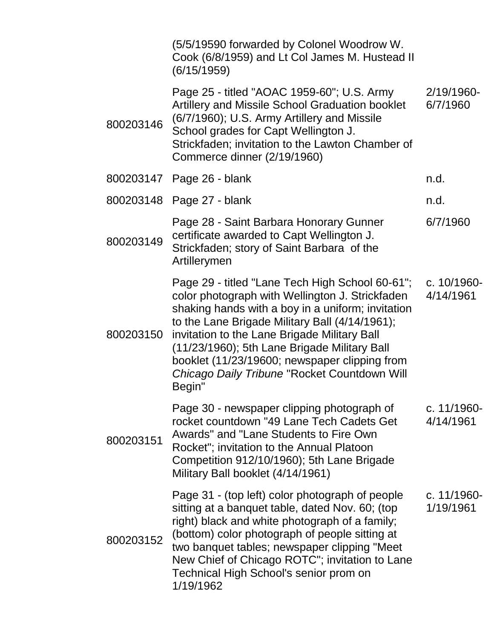|           | (5/5/19590 forwarded by Colonel Woodrow W.<br>Cook (6/8/1959) and Lt Col James M. Hustead II<br>(6/15/1959)                                                                                                                                                                                                                                                                                                                      |                          |
|-----------|----------------------------------------------------------------------------------------------------------------------------------------------------------------------------------------------------------------------------------------------------------------------------------------------------------------------------------------------------------------------------------------------------------------------------------|--------------------------|
| 800203146 | Page 25 - titled "AOAC 1959-60"; U.S. Army<br>Artillery and Missile School Graduation booklet<br>(6/7/1960); U.S. Army Artillery and Missile<br>School grades for Capt Wellington J.<br>Strickfaden; invitation to the Lawton Chamber of<br>Commerce dinner (2/19/1960)                                                                                                                                                          | 2/19/1960-<br>6/7/1960   |
|           | 800203147 Page 26 - blank                                                                                                                                                                                                                                                                                                                                                                                                        | n.d.                     |
|           | 800203148 Page 27 - blank                                                                                                                                                                                                                                                                                                                                                                                                        | n.d.                     |
| 800203149 | Page 28 - Saint Barbara Honorary Gunner<br>certificate awarded to Capt Wellington J.<br>Strickfaden; story of Saint Barbara of the<br>Artillerymen                                                                                                                                                                                                                                                                               | 6/7/1960                 |
| 800203150 | Page 29 - titled "Lane Tech High School 60-61"; c. 10/1960-<br>color photograph with Wellington J. Strickfaden<br>shaking hands with a boy in a uniform; invitation<br>to the Lane Brigade Military Ball (4/14/1961);<br>invitation to the Lane Brigade Military Ball<br>(11/23/1960); 5th Lane Brigade Military Ball<br>booklet (11/23/19600; newspaper clipping from<br>Chicago Daily Tribune "Rocket Countdown Will<br>Begin" | 4/14/1961                |
| 800203151 | Page 30 - newspaper clipping photograph of<br>rocket countdown "49 Lane Tech Cadets Get<br>Awards" and "Lane Students to Fire Own<br>Rocket"; invitation to the Annual Platoon<br>Competition 912/10/1960); 5th Lane Brigade<br>Military Ball booklet (4/14/1961)                                                                                                                                                                | c. 11/1960-<br>4/14/1961 |
| 800203152 | Page 31 - (top left) color photograph of people<br>sitting at a banquet table, dated Nov. 60; (top<br>right) black and white photograph of a family;<br>(bottom) color photograph of people sitting at<br>two banquet tables; newspaper clipping "Meet<br>New Chief of Chicago ROTC"; invitation to Lane<br>Technical High School's senior prom on<br>1/19/1962                                                                  | c. 11/1960-<br>1/19/1961 |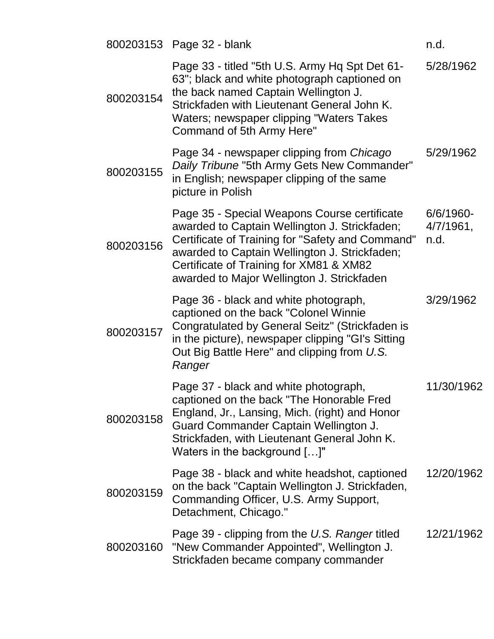|           | 800203153 Page 32 - blank                                                                                                                                                                                                                                                                   | n.d.                           |
|-----------|---------------------------------------------------------------------------------------------------------------------------------------------------------------------------------------------------------------------------------------------------------------------------------------------|--------------------------------|
| 800203154 | Page 33 - titled "5th U.S. Army Hq Spt Det 61-<br>63"; black and white photograph captioned on<br>the back named Captain Wellington J.<br>Strickfaden with Lieutenant General John K.<br>Waters; newspaper clipping "Waters Takes<br>Command of 5th Army Here"                              | 5/28/1962                      |
| 800203155 | Page 34 - newspaper clipping from Chicago<br>Daily Tribune "5th Army Gets New Commander"<br>in English; newspaper clipping of the same<br>picture in Polish                                                                                                                                 | 5/29/1962                      |
| 800203156 | Page 35 - Special Weapons Course certificate<br>awarded to Captain Wellington J. Strickfaden;<br>Certificate of Training for "Safety and Command"<br>awarded to Captain Wellington J. Strickfaden;<br>Certificate of Training for XM81 & XM82<br>awarded to Major Wellington J. Strickfaden | 6/6/1960-<br>4/7/1961,<br>n.d. |
| 800203157 | Page 36 - black and white photograph,<br>captioned on the back "Colonel Winnie<br>Congratulated by General Seitz" (Strickfaden is<br>in the picture), newspaper clipping "GI's Sitting<br>Out Big Battle Here" and clipping from U.S.<br>Ranger                                             | 3/29/1962                      |
| 800203158 | Page 37 - black and white photograph,<br>captioned on the back "The Honorable Fred<br>England, Jr., Lansing, Mich. (right) and Honor<br>Guard Commander Captain Wellington J.<br>Strickfaden, with Lieutenant General John K.<br>Waters in the background []"                               | 11/30/1962                     |
| 800203159 | Page 38 - black and white headshot, captioned<br>on the back "Captain Wellington J. Strickfaden,<br>Commanding Officer, U.S. Army Support,<br>Detachment, Chicago."                                                                                                                         | 12/20/1962                     |
| 800203160 | Page 39 - clipping from the U.S. Ranger titled<br>"New Commander Appointed", Wellington J.<br>Strickfaden became company commander                                                                                                                                                          | 12/21/1962                     |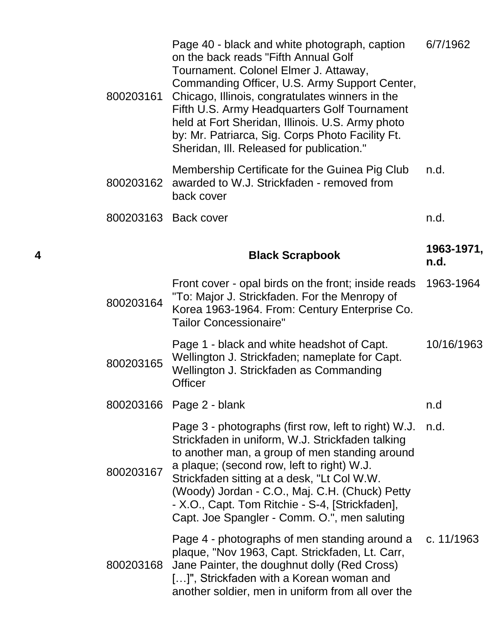|   | 800203161 | Page 40 - black and white photograph, caption<br>on the back reads "Fifth Annual Golf<br>Tournament. Colonel Elmer J. Attaway,<br>Commanding Officer, U.S. Army Support Center,<br>Chicago, Illinois, congratulates winners in the<br>Fifth U.S. Army Headquarters Golf Tournament<br>held at Fort Sheridan, Illinois. U.S. Army photo<br>by: Mr. Patriarca, Sig. Corps Photo Facility Ft.<br>Sheridan, III. Released for publication." | 6/7/1962           |
|---|-----------|-----------------------------------------------------------------------------------------------------------------------------------------------------------------------------------------------------------------------------------------------------------------------------------------------------------------------------------------------------------------------------------------------------------------------------------------|--------------------|
|   | 800203162 | Membership Certificate for the Guinea Pig Club<br>awarded to W.J. Strickfaden - removed from<br>back cover                                                                                                                                                                                                                                                                                                                              | n.d.               |
|   | 800203163 | <b>Back cover</b>                                                                                                                                                                                                                                                                                                                                                                                                                       | n.d.               |
| 4 |           | <b>Black Scrapbook</b>                                                                                                                                                                                                                                                                                                                                                                                                                  | 1963-1971,<br>n.d. |
|   | 800203164 | Front cover - opal birds on the front; inside reads<br>"To: Major J. Strickfaden. For the Menropy of<br>Korea 1963-1964. From: Century Enterprise Co.<br><b>Tailor Concessionaire"</b>                                                                                                                                                                                                                                                  | 1963-1964          |
|   | 800203165 | Page 1 - black and white headshot of Capt.<br>Wellington J. Strickfaden; nameplate for Capt.<br>Wellington J. Strickfaden as Commanding<br><b>Officer</b>                                                                                                                                                                                                                                                                               | 10/16/1963         |
|   |           | 800203166 Page 2 - blank                                                                                                                                                                                                                                                                                                                                                                                                                | n.d                |
|   | 800203167 | Page 3 - photographs (first row, left to right) W.J.<br>Strickfaden in uniform, W.J. Strickfaden talking<br>to another man, a group of men standing around<br>a plaque; (second row, left to right) W.J.<br>Strickfaden sitting at a desk, "Lt Col W.W.<br>(Woody) Jordan - C.O., Maj. C.H. (Chuck) Petty<br>- X.O., Capt. Tom Ritchie - S-4, [Strickfaden],<br>Capt. Joe Spangler - Comm. O.", men saluting                            | n.d.               |
|   | 800203168 | Page 4 - photographs of men standing around a<br>plaque, "Nov 1963, Capt. Strickfaden, Lt. Carr,<br>Jane Painter, the doughnut dolly (Red Cross)<br>[]", Strickfaden with a Korean woman and<br>another soldier, men in uniform from all over the                                                                                                                                                                                       | c. 11/1963         |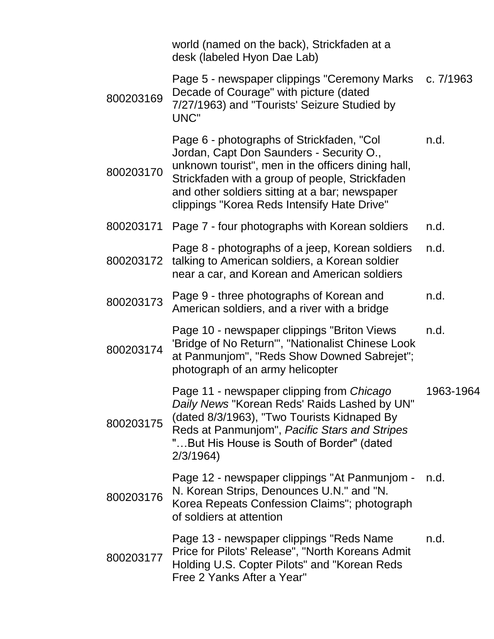|           | world (named on the back), Strickfaden at a<br>desk (labeled Hyon Dae Lab)                                                                                                                                                                                                                      |           |
|-----------|-------------------------------------------------------------------------------------------------------------------------------------------------------------------------------------------------------------------------------------------------------------------------------------------------|-----------|
| 800203169 | Page 5 - newspaper clippings "Ceremony Marks<br>Decade of Courage" with picture (dated<br>7/27/1963) and "Tourists' Seizure Studied by<br>UNC"                                                                                                                                                  | c. 7/1963 |
| 800203170 | Page 6 - photographs of Strickfaden, "Col<br>Jordan, Capt Don Saunders - Security O.,<br>unknown tourist", men in the officers dining hall,<br>Strickfaden with a group of people, Strickfaden<br>and other soldiers sitting at a bar; newspaper<br>clippings "Korea Reds Intensify Hate Drive" | n.d.      |
| 800203171 | Page 7 - four photographs with Korean soldiers                                                                                                                                                                                                                                                  | n.d.      |
| 800203172 | Page 8 - photographs of a jeep, Korean soldiers<br>talking to American soldiers, a Korean soldier<br>near a car, and Korean and American soldiers                                                                                                                                               | n.d.      |
| 800203173 | Page 9 - three photographs of Korean and<br>American soldiers, and a river with a bridge                                                                                                                                                                                                        | n.d.      |
| 800203174 | Page 10 - newspaper clippings "Briton Views"<br>'Bridge of No Return'", "Nationalist Chinese Look<br>at Panmunjom", "Reds Show Downed Sabrejet";<br>photograph of an army helicopter                                                                                                            | n.d.      |
| 800203175 | Page 11 - newspaper clipping from Chicago<br>Daily News "Korean Reds' Raids Lashed by UN"<br>(dated 8/3/1963), "Two Tourists Kidnaped By<br>Reds at Panmunjom", Pacific Stars and Stripes<br>"But His House is South of Border" (dated<br>2/3/1964                                              | 1963-1964 |
| 800203176 | Page 12 - newspaper clippings "At Panmunjom -<br>N. Korean Strips, Denounces U.N." and "N.<br>Korea Repeats Confession Claims"; photograph<br>of soldiers at attention                                                                                                                          | n.d.      |
| 800203177 | Page 13 - newspaper clippings "Reds Name<br>Price for Pilots' Release", "North Koreans Admit<br>Holding U.S. Copter Pilots" and "Korean Reds<br>Free 2 Yanks After a Year"                                                                                                                      | n.d.      |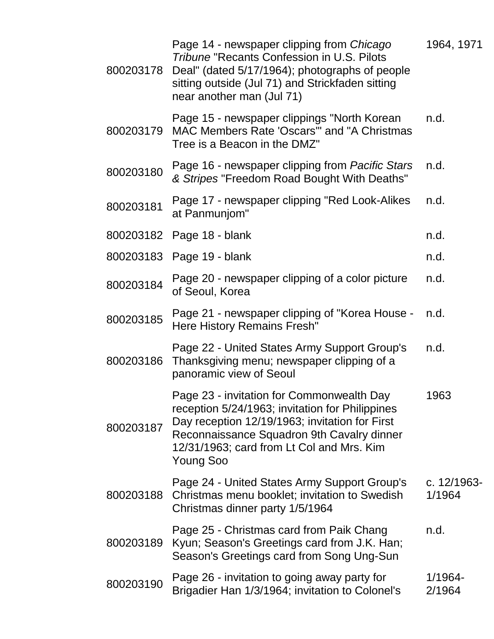| 800203178 | Page 14 - newspaper clipping from Chicago<br><b>Tribune "Recants Confession in U.S. Pilots</b><br>Deal" (dated 5/17/1964); photographs of people<br>sitting outside (Jul 71) and Strickfaden sitting<br>near another man (Jul 71)                      | 1964, 1971            |
|-----------|--------------------------------------------------------------------------------------------------------------------------------------------------------------------------------------------------------------------------------------------------------|-----------------------|
| 800203179 | Page 15 - newspaper clippings "North Korean<br>MAC Members Rate 'Oscars'" and "A Christmas<br>Tree is a Beacon in the DMZ"                                                                                                                             | n.d.                  |
| 800203180 | Page 16 - newspaper clipping from Pacific Stars<br>& Stripes "Freedom Road Bought With Deaths"                                                                                                                                                         | n.d.                  |
| 800203181 | Page 17 - newspaper clipping "Red Look-Alikes"<br>at Panmunjom"                                                                                                                                                                                        | n.d.                  |
| 800203182 | Page 18 - blank                                                                                                                                                                                                                                        | n.d.                  |
|           | 800203183 Page 19 - blank                                                                                                                                                                                                                              | n.d.                  |
| 800203184 | Page 20 - newspaper clipping of a color picture<br>of Seoul, Korea                                                                                                                                                                                     | n.d.                  |
| 800203185 | Page 21 - newspaper clipping of "Korea House -<br>Here History Remains Fresh"                                                                                                                                                                          | n.d.                  |
| 800203186 | Page 22 - United States Army Support Group's<br>Thanksgiving menu; newspaper clipping of a<br>panoramic view of Seoul                                                                                                                                  | n.d.                  |
| 800203187 | Page 23 - invitation for Commonwealth Day<br>reception 5/24/1963; invitation for Philippines<br>Day reception 12/19/1963; invitation for First<br>Reconnaissance Squadron 9th Cavalry dinner<br>12/31/1963; card from Lt Col and Mrs. Kim<br>Young Soo | 1963                  |
| 800203188 | Page 24 - United States Army Support Group's<br>Christmas menu booklet; invitation to Swedish<br>Christmas dinner party 1/5/1964                                                                                                                       | c. 12/1963-<br>1/1964 |
| 800203189 | Page 25 - Christmas card from Paik Chang<br>Kyun; Season's Greetings card from J.K. Han;<br>Season's Greetings card from Song Ung-Sun                                                                                                                  | n.d.                  |
| 800203190 | Page 26 - invitation to going away party for<br>Brigadier Han 1/3/1964; invitation to Colonel's                                                                                                                                                        | 1/1964-<br>2/1964     |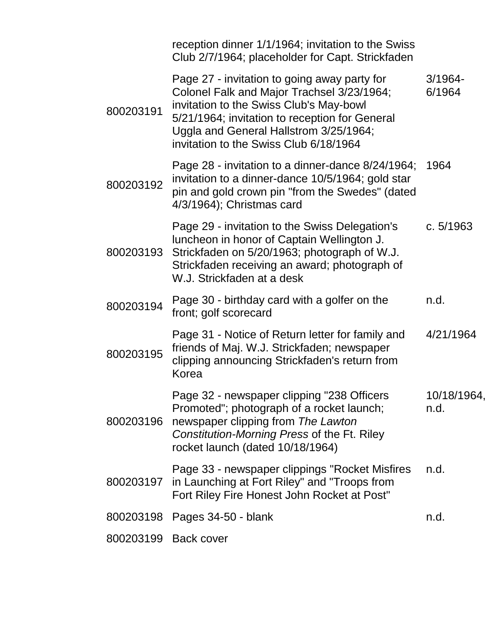|                      | reception dinner 1/1/1964; invitation to the Swiss<br>Club 2/7/1964; placeholder for Capt. Strickfaden                                                                                                                                                                      |                      |
|----------------------|-----------------------------------------------------------------------------------------------------------------------------------------------------------------------------------------------------------------------------------------------------------------------------|----------------------|
| 800203191            | Page 27 - invitation to going away party for<br>Colonel Falk and Major Trachsel 3/23/1964;<br>invitation to the Swiss Club's May-bowl<br>5/21/1964; invitation to reception for General<br>Uggla and General Hallstrom 3/25/1964;<br>invitation to the Swiss Club 6/18/1964 | $3/1964 -$<br>6/1964 |
| 800203192            | Page 28 - invitation to a dinner-dance 8/24/1964;<br>invitation to a dinner-dance 10/5/1964; gold star<br>pin and gold crown pin "from the Swedes" (dated<br>4/3/1964); Christmas card                                                                                      | 1964                 |
| 800203193            | Page 29 - invitation to the Swiss Delegation's<br>luncheon in honor of Captain Wellington J.<br>Strickfaden on 5/20/1963; photograph of W.J.<br>Strickfaden receiving an award; photograph of<br>W.J. Strickfaden at a desk                                                 | c. $5/1963$          |
| 800203194            | Page 30 - birthday card with a golfer on the<br>front; golf scorecard                                                                                                                                                                                                       | n.d.                 |
| 800203195            | Page 31 - Notice of Return letter for family and<br>friends of Maj. W.J. Strickfaden; newspaper<br>clipping announcing Strickfaden's return from<br>Korea                                                                                                                   | 4/21/1964            |
| 800203196            | Page 32 - newspaper clipping "238 Officers<br>Promoted"; photograph of a rocket launch;<br>newspaper clipping from The Lawton<br>Constitution-Morning Press of the Ft. Riley<br>rocket launch (dated 10/18/1964)                                                            | 10/18/1964,<br>n.d.  |
| 800203197            | Page 33 - newspaper clippings "Rocket Misfires"<br>in Launching at Fort Riley" and "Troops from<br>Fort Riley Fire Honest John Rocket at Post"                                                                                                                              | n.d.                 |
| 800203198            | Pages 34-50 - blank                                                                                                                                                                                                                                                         | n.d.                 |
| 800203199 Back cover |                                                                                                                                                                                                                                                                             |                      |